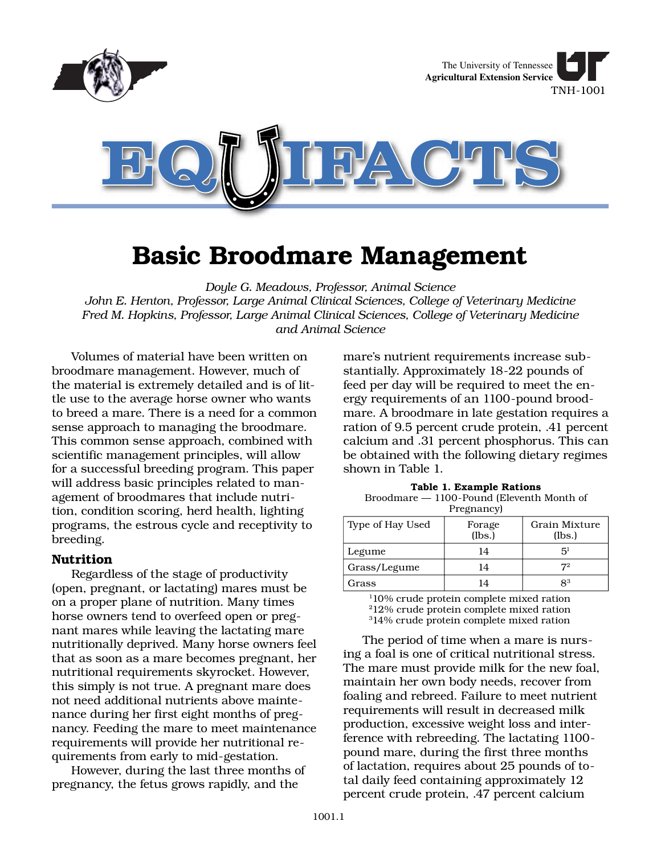

# **Basic Broodmare Management**

*Doyle G. Meadows, Professor, Animal Science*

*John E. Henton, Professor, Large Animal Clinical Sciences, College of Veterinary Medicine Fred M. Hopkins, Professor, Large Animal Clinical Sciences, College of Veterinary Medicine and Animal Science*

Volumes of material have been written on broodmare management. However, much of the material is extremely detailed and is of little use to the average horse owner who wants to breed a mare. There is a need for a common sense approach to managing the broodmare. This common sense approach, combined with scientific management principles, will allow for a successful breeding program. This paper will address basic principles related to management of broodmares that include nutrition, condition scoring, herd health, lighting programs, the estrous cycle and receptivity to breeding.

#### **Nutrition**

Regardless of the stage of productivity (open, pregnant, or lactating) mares must be on a proper plane of nutrition. Many times horse owners tend to overfeed open or pregnant mares while leaving the lactating mare nutritionally deprived. Many horse owners feel that as soon as a mare becomes pregnant, her nutritional requirements skyrocket. However, this simply is not true. A pregnant mare does not need additional nutrients above maintenance during her first eight months of pregnancy. Feeding the mare to meet maintenance requirements will provide her nutritional requirements from early to mid-gestation.

However, during the last three months of pregnancy, the fetus grows rapidly, and the

mare's nutrient requirements increase substantially. Approximately 18-22 pounds of feed per day will be required to meet the energy requirements of an 1100-pound broodmare. A broodmare in late gestation requires a ration of 9.5 percent crude protein, .41 percent calcium and .31 percent phosphorus. This can be obtained with the following dietary regimes shown in Table 1.

**Table 1. Example Rations** Broodmare — 1100-Pound (Eleventh Month of Pregnancy)

| Type of Hay Used | Forage<br>(lbs.) | Grain Mixture<br>(lbs.) |
|------------------|------------------|-------------------------|
| Legume           | 14               | 51                      |
| Grass/Legume     | 14               | 72                      |
| Grass            | 14               | $8^3$                   |

1 10% crude protein complete mixed ration 212% crude protein complete mixed ration 3 14% crude protein complete mixed ration

The period of time when a mare is nursing a foal is one of critical nutritional stress. The mare must provide milk for the new foal, maintain her own body needs, recover from foaling and rebreed. Failure to meet nutrient requirements will result in decreased milk production, excessive weight loss and interference with rebreeding. The lactating 1100 pound mare, during the first three months of lactation, requires about 25 pounds of total daily feed containing approximately 12 percent crude protein, .47 percent calcium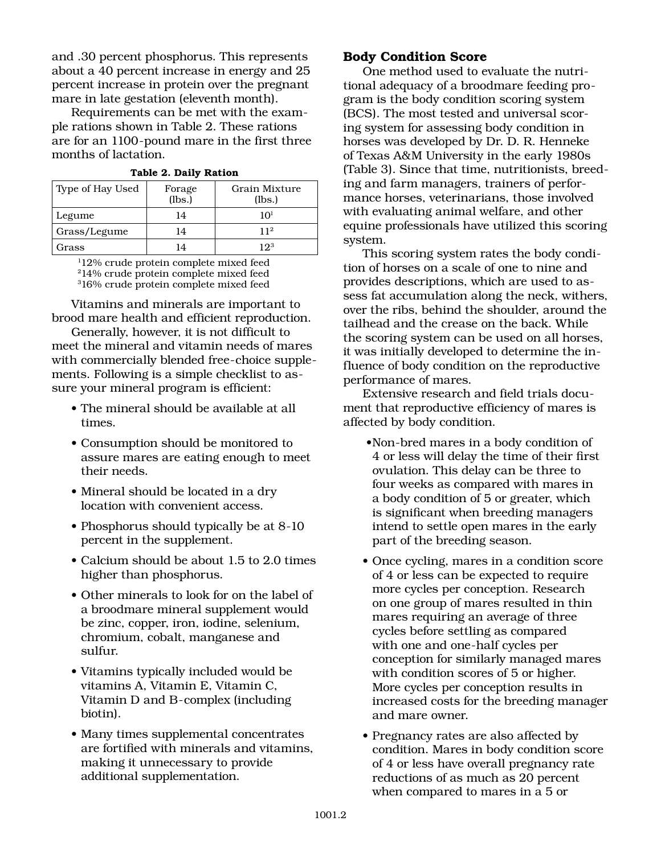and .30 percent phosphorus. This represents about a 40 percent increase in energy and 25 percent increase in protein over the pregnant mare in late gestation (eleventh month).

Requirements can be met with the example rations shown in Table 2. These rations are for an 1100-pound mare in the first three months of lactation.

| Type of Hay Used | Forage<br>(lbs.) | Grain Mixture<br>(lbs.) |
|------------------|------------------|-------------------------|
| Legume           | 14               | 101                     |
| Grass/Legume     | 14               | 112                     |
| Grass            | 14               | 123                     |

**Table 2. Daily Ration**

1 12% crude protein complete mixed feed 214% crude protein complete mixed feed 3 16% crude protein complete mixed feed

Vitamins and minerals are important to brood mare health and efficient reproduction.

Generally, however, it is not difficult to meet the mineral and vitamin needs of mares with commercially blended free-choice supplements. Following is a simple checklist to assure your mineral program is efficient:

- The mineral should be available at all times.
- Consumption should be monitored to assure mares are eating enough to meet their needs.
- Mineral should be located in a dry location with convenient access.
- Phosphorus should typically be at 8-10 percent in the supplement.
- Calcium should be about 1.5 to 2.0 times higher than phosphorus.
- Other minerals to look for on the label of a broodmare mineral supplement would be zinc, copper, iron, iodine, selenium, chromium, cobalt, manganese and sulfur.
- Vitamins typically included would be vitamins A, Vitamin E, Vitamin C, Vitamin D and B-complex (including biotin).
- Many times supplemental concentrates are fortified with minerals and vitamins, making it unnecessary to provide additional supplementation.

## **Body Condition Score**

One method used to evaluate the nutritional adequacy of a broodmare feeding program is the body condition scoring system (BCS). The most tested and universal scoring system for assessing body condition in horses was developed by Dr. D. R. Henneke of Texas A&M University in the early 1980s (Table 3). Since that time, nutritionists, breeding and farm managers, trainers of performance horses, veterinarians, those involved with evaluating animal welfare, and other equine professionals have utilized this scoring system.

This scoring system rates the body condition of horses on a scale of one to nine and provides descriptions, which are used to assess fat accumulation along the neck, withers, over the ribs, behind the shoulder, around the tailhead and the crease on the back. While the scoring system can be used on all horses, it was initially developed to determine the influence of body condition on the reproductive performance of mares.

Extensive research and field trials document that reproductive efficiency of mares is affected by body condition.

- Non-bred mares in a body condition of 4 or less will delay the time of their first ovulation. This delay can be three to four weeks as compared with mares in a body condition of 5 or greater, which is significant when breeding managers intend to settle open mares in the early part of the breeding season.
- Once cycling, mares in a condition score of 4 or less can be expected to require more cycles per conception. Research on one group of mares resulted in thin mares requiring an average of three cycles before settling as compared with one and one-half cycles per conception for similarly managed mares with condition scores of 5 or higher. More cycles per conception results in increased costs for the breeding manager and mare owner.
- Pregnancy rates are also affected by condition. Mares in body condition score of 4 or less have overall pregnancy rate reductions of as much as 20 percent when compared to mares in a 5 or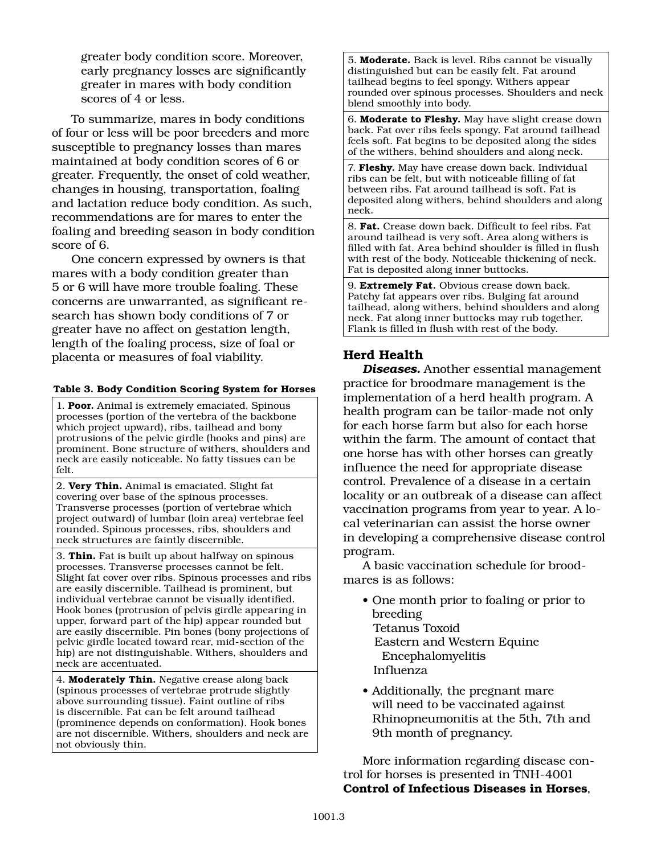greater body condition score. Moreover, early pregnancy losses are significantly greater in mares with body condition scores of 4 or less.

To summarize, mares in body conditions of four or less will be poor breeders and more susceptible to pregnancy losses than mares maintained at body condition scores of 6 or greater. Frequently, the onset of cold weather, changes in housing, transportation, foaling and lactation reduce body condition. As such, recommendations are for mares to enter the foaling and breeding season in body condition score of 6.

One concern expressed by owners is that mares with a body condition greater than 5 or 6 will have more trouble foaling. These concerns are unwarranted, as significant research has shown body conditions of 7 or greater have no affect on gestation length, length of the foaling process, size of foal or placenta or measures of foal viability.

#### **Table 3. Body Condition Scoring System for Horses**

1. **Poor.** Animal is extremely emaciated. Spinous processes (portion of the vertebra of the backbone which project upward), ribs, tailhead and bony protrusions of the pelvic girdle (hooks and pins) are prominent. Bone structure of withers, shoulders and neck are easily noticeable. No fatty tissues can be felt.

2. **Very Thin.** Animal is emaciated. Slight fat covering over base of the spinous processes. Transverse processes (portion of vertebrae which project outward) of lumbar (loin area) vertebrae feel rounded. Spinous processes, ribs, shoulders and neck structures are faintly discernible.

3. **Thin.** Fat is built up about halfway on spinous processes. Transverse processes cannot be felt. Slight fat cover over ribs. Spinous processes and ribs are easily discernible. Tailhead is prominent, but individual vertebrae cannot be visually identified. Hook bones (protrusion of pelvis girdle appearing in upper, forward part of the hip) appear rounded but are easily discernible. Pin bones (bony projections of pelvic girdle located toward rear, mid-section of the hip) are not distinguishable. Withers, shoulders and neck are accentuated.

4. **Moderately Thin.** Negative crease along back (spinous processes of vertebrae protrude slightly above surrounding tissue). Faint outline of ribs is discernible. Fat can be felt around tailhead (prominence depends on conformation). Hook bones are not discernible. Withers, shoulders and neck are not obviously thin.

5. **Moderate.** Back is level. Ribs cannot be visually distinguished but can be easily felt. Fat around tailhead begins to feel spongy. Withers appear rounded over spinous processes. Shoulders and neck blend smoothly into body.

6. **Moderate to Fleshy.** May have slight crease down back. Fat over ribs feels spongy. Fat around tailhead feels soft. Fat begins to be deposited along the sides of the withers, behind shoulders and along neck.

7. **Fleshy.** May have crease down back. Individual ribs can be felt, but with noticeable filling of fat between ribs. Fat around tailhead is soft. Fat is deposited along withers, behind shoulders and along neck.

8. **Fat.** Crease down back. Difficult to feel ribs. Fat around tailhead is very soft. Area along withers is filled with fat. Area behind shoulder is filled in flush with rest of the body. Noticeable thickening of neck. Fat is deposited along inner buttocks.

9. **Extremely Fat.** Obvious crease down back. Patchy fat appears over ribs. Bulging fat around tailhead, along withers, behind shoulders and along neck. Fat along inner buttocks may rub together. Flank is filled in flush with rest of the body.

# **Herd Health**

*Diseases.* Another essential management practice for broodmare management is the implementation of a herd health program. A health program can be tailor-made not only for each horse farm but also for each horse within the farm. The amount of contact that one horse has with other horses can greatly influence the need for appropriate disease control. Prevalence of a disease in a certain locality or an outbreak of a disease can affect vaccination programs from year to year. A local veterinarian can assist the horse owner in developing a comprehensive disease control program.

A basic vaccination schedule for broodmares is as follows:

- One month prior to foaling or prior to breeding Tetanus Toxoid Eastern and Western Equine Encephalomyelitis Influenza
- Additionally, the pregnant mare will need to be vaccinated against Rhinopneumonitis at the 5th, 7th and 9th month of pregnancy.

More information regarding disease control for horses is presented in TNH-4001 **Control of Infectious Diseases in Horses**,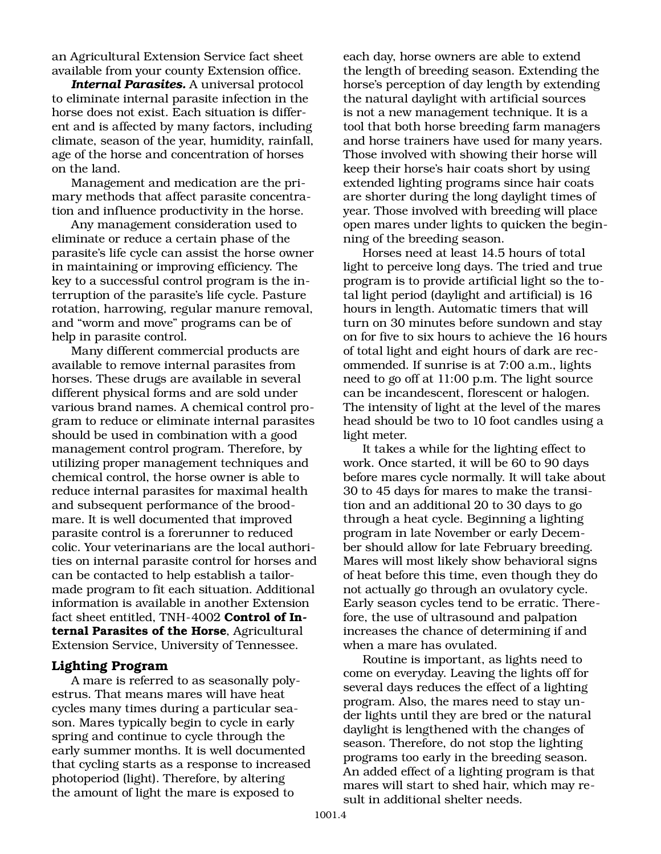an Agricultural Extension Service fact sheet available from your county Extension office.

*Internal Parasites.* A universal protocol to eliminate internal parasite infection in the horse does not exist. Each situation is different and is affected by many factors, including climate, season of the year, humidity, rainfall, age of the horse and concentration of horses on the land.

Management and medication are the primary methods that affect parasite concentration and influence productivity in the horse.

Any management consideration used to eliminate or reduce a certain phase of the parasite's life cycle can assist the horse owner in maintaining or improving efficiency. The key to a successful control program is the interruption of the parasite's life cycle. Pasture rotation, harrowing, regular manure removal, and "worm and move" programs can be of help in parasite control.

Many different commercial products are available to remove internal parasites from horses. These drugs are available in several different physical forms and are sold under various brand names. A chemical control program to reduce or eliminate internal parasites should be used in combination with a good management control program. Therefore, by utilizing proper management techniques and chemical control, the horse owner is able to reduce internal parasites for maximal health and subsequent performance of the broodmare. It is well documented that improved parasite control is a forerunner to reduced colic. Your veterinarians are the local authorities on internal parasite control for horses and can be contacted to help establish a tailormade program to fit each situation. Additional information is available in another Extension fact sheet entitled, TNH-4002 **Control of Internal Parasites of the Horse**, Agricultural Extension Service, University of Tennessee.

#### **Lighting Program**

A mare is referred to as seasonally polyestrus. That means mares will have heat cycles many times during a particular season. Mares typically begin to cycle in early spring and continue to cycle through the early summer months. It is well documented that cycling starts as a response to increased photoperiod (light). Therefore, by altering the amount of light the mare is exposed to

each day, horse owners are able to extend the length of breeding season. Extending the horse's perception of day length by extending the natural daylight with artificial sources is not a new management technique. It is a tool that both horse breeding farm managers and horse trainers have used for many years. Those involved with showing their horse will keep their horse's hair coats short by using extended lighting programs since hair coats are shorter during the long daylight times of year. Those involved with breeding will place open mares under lights to quicken the beginning of the breeding season.

Horses need at least 14.5 hours of total light to perceive long days. The tried and true program is to provide artificial light so the total light period (daylight and artificial) is 16 hours in length. Automatic timers that will turn on 30 minutes before sundown and stay on for five to six hours to achieve the 16 hours of total light and eight hours of dark are recommended. If sunrise is at 7:00 a.m., lights need to go off at 11:00 p.m. The light source can be incandescent, florescent or halogen. The intensity of light at the level of the mares head should be two to 10 foot candles using a light meter.

It takes a while for the lighting effect to work. Once started, it will be 60 to 90 days before mares cycle normally. It will take about 30 to 45 days for mares to make the transition and an additional 20 to 30 days to go through a heat cycle. Beginning a lighting program in late November or early December should allow for late February breeding. Mares will most likely show behavioral signs of heat before this time, even though they do not actually go through an ovulatory cycle. Early season cycles tend to be erratic. Therefore, the use of ultrasound and palpation increases the chance of determining if and when a mare has ovulated.

Routine is important, as lights need to come on everyday. Leaving the lights off for several days reduces the effect of a lighting program. Also, the mares need to stay under lights until they are bred or the natural daylight is lengthened with the changes of season. Therefore, do not stop the lighting programs too early in the breeding season. An added effect of a lighting program is that mares will start to shed hair, which may result in additional shelter needs.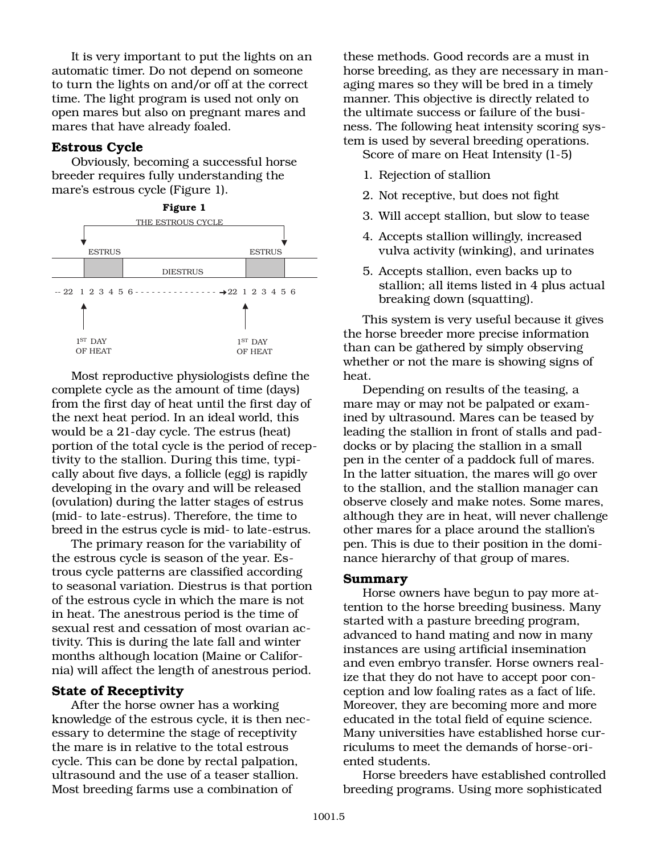It is very important to put the lights on an automatic timer. Do not depend on someone to turn the lights on and/or off at the correct time. The light program is used not only on open mares but also on pregnant mares and mares that have already foaled.

### **Estrous Cycle**

Obviously, becoming a successful horse breeder requires fully understanding the mare's estrous cycle (Figure 1).



Most reproductive physiologists define the complete cycle as the amount of time (days) from the first day of heat until the first day of the next heat period. In an ideal world, this would be a 21-day cycle. The estrus (heat) portion of the total cycle is the period of receptivity to the stallion. During this time, typically about five days, a follicle (egg) is rapidly developing in the ovary and will be released (ovulation) during the latter stages of estrus (mid- to late-estrus). Therefore, the time to breed in the estrus cycle is mid- to late-estrus.

The primary reason for the variability of the estrous cycle is season of the year. Estrous cycle patterns are classified according to seasonal variation. Diestrus is that portion of the estrous cycle in which the mare is not in heat. The anestrous period is the time of sexual rest and cessation of most ovarian activity. This is during the late fall and winter months although location (Maine or California) will affect the length of anestrous period.

#### **State of Receptivity**

After the horse owner has a working knowledge of the estrous cycle, it is then necessary to determine the stage of receptivity the mare is in relative to the total estrous cycle. This can be done by rectal palpation, ultrasound and the use of a teaser stallion. Most breeding farms use a combination of

these methods. Good records are a must in horse breeding, as they are necessary in managing mares so they will be bred in a timely manner. This objective is directly related to the ultimate success or failure of the business. The following heat intensity scoring system is used by several breeding operations.

Score of mare on Heat Intensity (1-5)

- 1. Rejection of stallion
- 2. Not receptive, but does not fight
- 3. Will accept stallion, but slow to tease
- 4. Accepts stallion willingly, increased vulva activity (winking), and urinates
- 5. Accepts stallion, even backs up to stallion; all items listed in 4 plus actual breaking down (squatting).

This system is very useful because it gives the horse breeder more precise information than can be gathered by simply observing whether or not the mare is showing signs of heat.

Depending on results of the teasing, a mare may or may not be palpated or examined by ultrasound. Mares can be teased by leading the stallion in front of stalls and paddocks or by placing the stallion in a small pen in the center of a paddock full of mares. In the latter situation, the mares will go over to the stallion, and the stallion manager can observe closely and make notes. Some mares, although they are in heat, will never challenge other mares for a place around the stallion's pen. This is due to their position in the dominance hierarchy of that group of mares.

#### **Summary**

Horse owners have begun to pay more attention to the horse breeding business. Many started with a pasture breeding program, advanced to hand mating and now in many instances are using artificial insemination and even embryo transfer. Horse owners realize that they do not have to accept poor conception and low foaling rates as a fact of life. Moreover, they are becoming more and more educated in the total field of equine science. Many universities have established horse curriculums to meet the demands of horse-oriented students.

Horse breeders have established controlled breeding programs. Using more sophisticated